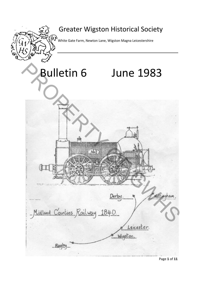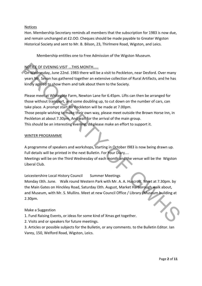## Notices

Hon. Membership Secretary reminds all members that the subscription for 1983 is now due, and remain unchanged at £2.OO. Cheques should be made payable to Greater Wigston Historical Society and sent to Mr. B. Bilson, 23, Thirlmere Road, Wigston, and Leics.

Membership entitles one to Free Admission of the Wigston Museum.

# NOTICE OF EVENING VISIT ...THIS MONTH.....

On Wednesday, June 22nd. 1983 there will be a visit to Peckleton, near Desford. Over many years Mr. Sevan has gathered together an extensive collection of Rural Artifacts, and he has kindly agreed to show them and talk about them to the Society.

Please meet at Whitegate Farm, Newton Lane for 6.45pm. Lifts can then be arranged for those without transport, and some doubling up, to cut down on the number of cars, can take place. A prompt start for Peckleton will be made at 7.00pm. Those people wishing to make their own way, please meet outside the Brown Horse Inn, in Peckleton at about 7.30pm. And wait for the arrival of the main group. This should be an interesting evening, do please make an effort to support it. **NOTIGE OF EVENING VISIT ....THIS MONTH......**<br> **On Wednesday, June 22nd. 1983 there will be a** visit to Peckleton, near Desford. Over many<br>
varist MK, Sevan has gathered together an extensive collection of Rural Artifacts

#### WINTER PROGRAMME

A programme of speakers and workshops, starting in October I983 is now being drawn up. Full details will be printed in the next Bulletin. For Your Diary....

Meetings will be on the Third Wednesday of each month and the venue will be the Wigston Liberal Club.

Leicestershire Local History Council Summer Meetings Monday I3th. June. Walk round Western Park with Mr. A. A. Huscroft. Meet at 7.30pm. by the Main Gates on Hinckley Road, Saturday I3th. August, Market Harborough walk about, and Museum, with Mr. S. Mullins. Meet at new Council Office / Library /Museum building at 2.30pm.

## Make a Suggestion

1. Fund Raising Events, or ideas for some kind of Xmas get together.

2. Visits and or speakers for future meetings.

3. Articles or possible subjects for the Bulletin, or any comments. to the Bulletin Editor. Ian Varey, 150, Welford Road, Wigston, Leics.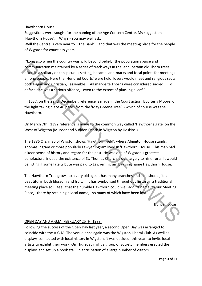Hawthhorn House.

Suggestions were sought for the naming of the Age Concern Centre, My suggestion is 'Hawthorn House'. Why? ‐ You may well ask.

Well the Centre is very near to 'The Bank', and that was the meeting place for the people of Wigston for countless years.

"Long ago when the country was wild beyond belief, the population sparse and communication maintained by a series of track ways in the land, certain old Thorn trees, often in a solitary or conspicuous setting, became land‐marks and focal points for meetings among people. Here the 'Hundred Courts' were held, lovers would meet and religious sects, both Pagan and Christian, assemble. All mark-site Thorns were considered sacred. To deface one was a serious offence, even to the extent of plucking a leaf." communication maintained by a series of track ways in the land, certain old Thorn trees,<br>
often in a solitary or conspicuous setting, became land-marks and focal points for meetings<br>
any programs and the relations setting,

In 1637, on the 22nd December, reference is made in the Court action, Boulter v Moore, of the fight taking place 40 paces from the 'May Greene Tree' ‐ which of course was the Hawthorn.

On March 7th. 1392 reference is made to the common way called 'Hawthorne gate' on the West of Wigston (Murder and Sudden Death in Wigston by Hoskins.).

The 1886 O.S. map of Wigston shows 'Hawthorn Field', where Abington House stands. Thomas Ingram or more popularly Lawyer Ingram lived in 'Hawthorn' House. This man had a keen sense of history and regard for the past. He was one of Wigston's greatest benefactors; indeed the existence of St. Thomas Church is due largely to his efforts. It would be fitting if some late tribute was paid to Lawyer Ingram by using name Hawthorn House.

The Hawthorn Tree grows to a very old age, it has many branches and side shoots, it is beautiful in both blossom and fruit. It has symbolised throughout history, a traditional meeting place so I feel that the humble Hawthorn could well add its name to our Meeting Place, there by retaining a local name, so many of which have been lost.

Duncan Lucas.

## OPEN DAY AND A.G.M. FEBRUARY 25TH. 1983.

Following the success of the Open Day last year, a second Open Day was arranged to coincide with the A.G.M. The venue once again was the Wigston Liberal Club. As well as displays connected with local history in Wigston, it was decided, this year, to invite local artists to exhibit their work. On Thursday night a group of Society members erected the displays and set up a book stall, in anticipation of a large number of visitors.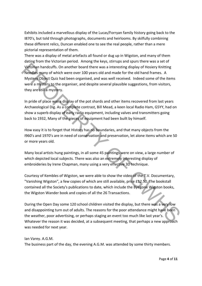Exhibits included a marvellous display of the Lucas/Forryan family history going back to the I870's, but told through photographs, documents and heirlooms. By skilfully combining these different relics, Duncan enabled one to see the real people, rather than a mere pictorial representation of them.

There was a display of metal artefacts all found or dug up in Wigston, and many of them dating from the Victorian period. Among the keys, stirrups and spurs there was a set of Victorian handcuffs. On another board there was a interesting display of Hosiery Knitting Needles many of which were over 100 years old and made for the old hand frames. A Mystery Object Quiz had been organised, and was well received. Indeed some of the items were a mystery to the organiser, and despite several plausible suggestions, from visitors, they are still a mystery. Vectorian handculfs. On another board there was a interesting display of Hosiery Knitting<br>
Neediges many of which were over 100 years old and made for the old hand frames. A<br>
Neediges may of which were over 100 years old

In pride of place was a display of the pot shards and other items recovered from last years Archaeological Dig. As a complete contrast, Bill Mead, a keen local Radio Ham, G5YY, had on show a superb display of early radio equipment, including valves and transmitters going back to 1932, Many of the pieces of equipment had been built by himself.

How easy it is to forget that History has no boundaries, and that many objects from the I960's and 1970's are in need of conservation and preservation, let alone items which are 50 or more years old.

Many local artists hung paintings, in all some 45 paintings were on view, a large number of which depicted local subjects. There was also an extremely interesting display of embroideries by Irene Chapman, many using a very effective 3D technique.

Courtesy of Kembles of Wigston, we were able to show the video of the T.V. Documentary, "Vanishing Wigston", a few copies of which are still available, price £12.50. The bookstall contained all the Society's publications to date, which include the Byegone Wigston books, the Wigston Wander book and copies of all the 26 Transactions.

During the Open Day some 120 school children visited the display, but there was a very low and disappointing turn out of adults. The reasons for the poor attendance might have been the weather, poor advertising, or perhaps staging an event too much like last year's. Whatever the reason it was decided, at a subsequent meeting, that perhaps a new approach was needed for next year.

#### Ian Varey. A.G.M.

The business part of the day, the evening A.G.M. was attended by some thirty members.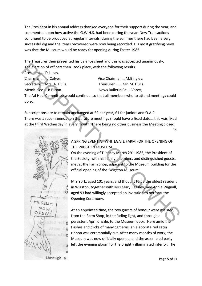The President in his annual address thanked everyone for their support during the year, and commented upon how active the G.W.H.S. had been during the year. New Transactions continued to be produced at regular intervals, during the summer there had been a very successful dig and the items recovered were now being recorded. His most gratifying news was that the Museum would be ready for opening during Easter 1983.

The Treasurer then presented his balance sheet and this was accepted unanimously. The election of officers then took place, with the following results.

President.... D.Lucas. Chairman ..... J.Colver, Chairman ... M.Bingley. Secretary.... Mrs. A. Hulls. Treasurer....... Mr. M. Hulls. Memb. Sec.... B.Bilson. The Mews Bulletin Ed. I. Varey, The Ad Hoc. Committee would continue, so that all members who to attend meetings could do so. The election of officers then took place, with the following results.<br>
Presidentic, D.Luccas.<br>
Secretary....Wits, A. Hulls.<br>
Memb. Sec., B.Bilson.<br>
New Sulletin Ed. I. Varey,<br>
Secretary....Wits, A. Hulls.<br>
Memb. Sec., B.B

Subscriptions are to remain unchanged at £2 per year, £1 for juniors and O.A.P. There was a recommendation that future meetings should have a fixed date... this was fixed at the third Wednesday in every month. There being no other business the Meeting closed.

en alternative and the Ed.



# A SPRING EVENT AT WHITEGATE FARM FOR THE OPENING OF THE WIGSTON MUSEUM

On the evening of Tuesday March 29<sup>th</sup> 1983, the President of the Society, with his family, members and distinguished guests, met at the Farm Shop, adjacent to the Museum building for the official opening of the 'Wigston Museum'.

Mrs York, aged 101 years, and thought to be the oldest resident in Wigston, together with Mrs Mary Beasley, nee Annie Wignall, aged 93 had willingly accepted an invitation to perform the Opening Ceremony.

At an appointed time, the two guests of honour were assisted from the Farm Shop, in the fading light, and through a persistent April drizzle, to the Museum door. Here amid the flashes and clicks of many cameras, an elaborate red satin ribbon was ceremonially cut. After many months of work, the Museum was now officially opened, and the assembled party left the evening gloom for the brightly illuminated interior. The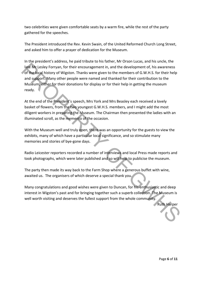two celebrities were given comfortable seats by a warm fire, while the rest of the party gathered for the speeches.

The President introduced the Rev. Kevin Swain, of the United Reformed Church Long Street, and asked him to offer a prayer of dedication for the Museum.

In the president's address, he paid tribute to his father, Mr Orson Lucas, and his uncle, the late Mr Lesley Forryan, for their encouragement in, and the development of, his awareness of the local history of Wigston. Thanks were given to the members of G.W.H.S. for their help and support. Many other people were named and thanked for their contribution to the Museum, either for their donations for display or for their help in getting the museum ready. Isle Mr Lesley Forryan, for their encouragement in, and the development of, his awareness<br>of the focal history of Wigston. Thanks were given to the members of G.W.H.S. For their felip<br>of the focal history of Wigston. Thank

At the end of the President's speech, Mrs York and Mrs Beasley each received a lovely basket of flowers, from the two youngest G.W.H.S. members, and I might add the most diligent workers in preparing the Museum. The Chairman then presented the ladies with an illuminated scroll, as the memento of the occasion.

With the Museum well and truly open, there was an opportunity for the guests to view the exhibits, many of which have a particular local significance, and so stimulate many memories and stories of bye‐gone days.

Radio Leicester reporters recorded a number of interviews and local Press made reports and took photographs, which were later published and so will help to publicise the museum.

The party then made its way back to the Farm Shop where a generous buffet with wine, awaited us. The organisers of which deserve a special thank you.

Many congratulations and good wishes were given to Duncan, for his enthusiastic and deep interest in Wigston's past and for bringing together such a superb collection. The Museum is well worth visiting and deserves the fullest support from the whole community.

Ruth Harper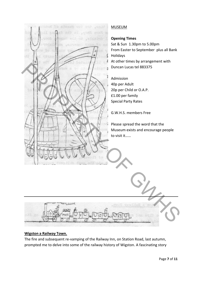

#### **Wigston a Railway Town.**

The fire and subsequent re-vamping of the Railway Inn, on Station Road, last autumn, prompted me to delve into some of the railway history of Wigston. A fascinating story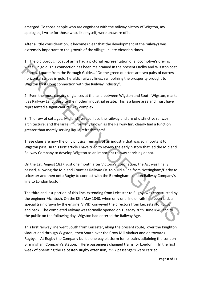emerged. To those people who are cognisant with the railway history of Wigston, my apologies, I write for those who, like myself, were unaware of it.

After a little consideration, it becomes clear that the development of the railways was extremely important to the growth of the village, in late Victorian times.

1. The old Borough coat of arms had a pictorial representation of a locomotive's driving wheel, in gold. This connection has been maintained in the present Oadby and Wigston coat of arms. I quote from the Borough Guide... "On the green quarters are two pairs of narrow horizontal stripes in gold, heraldic railway lines, symbolizing the prosperity brought to Wigston by its long connection with the Railway Industry".

2. Even the most cursory of glances at the land between Wigston and South Wigston, marks it as Railway Land, despite the modern industrial estate. This is a large area and must have represented a significant railway complex.

3. The row of cottages, Midland Terrace, face the railway and are of distinctive railway architecture; and the large inn, formally known as the Railway Inn, clearly had a function greater than merely serving liquid refreshments!

These clues are now the only physical remains of an industry that was so important to Wigston past. In this first article I have tried to review the early history that led the Midland Railway Company to develop Wigston as an important railway servicing depot.

On the 1st. August 1837, just one month after Victoria's Coronation, the Act was finally passed, allowing the Midland Counties Railway Co. to build a line from Nottingham/Derby to Leicester and then onto Rugby to connect with the Birmingham‐London Railway Company's line to London Euston.

The third and last portion of this line, extending from Leicester to Rugby, was constructed by the engineer Mclntosh. On the I8th May 1840, when only one line of rails had been laid, a special train drawn by the engine 'VIVID' conveyed the directors from Leicester to Rugby and back. The completed railway was formally opened on Tuesday 30th. June I840 and to the public on the following day. Wigston had entered the Railway Age. wheel, in gold. This connection has been maintained in the present Oadby and Wigston coat<br>of a small of the Borough Guide... "On the green quarters are two pairs of narrow<br>horizonslal stripes in gold, heradic railway line

This first railway line went South from Leicester, along the present route, over the Knighton viaduct and through Wigston, then South over the Crow Mill viaduct and on towards Rugby.' At Rugby the Company built a one bay platform for its trains adjoining the London-Birmingham Company's station. Here passengers changed trains for London. In the first week of operating the Leicester-Rugby extension, 7557 passengers were carried.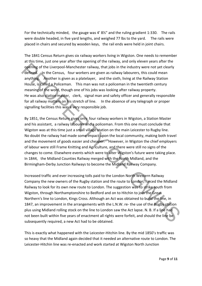For the technically minded, the gauge was 4' 81/2" and the ruling gradient 1:330. The rails were double headed, in five yard lengths, and weighed 77 lbs to the yard. The rails were placed in chairs and secured by wooden keys, the rail ends were held in joint chairs.

The 1841 Census Return gives six railway workers living in Wigston. One needs to remember at this time, just one year after the opening of the railway, and only eleven years after the opening of the Liverpool‐Manchester railway, that jobs in the industry were not yet clearly defined. In the Census, four workers are given as railway labourers, this could mean anything. Another is given as a platelayer, and the sixth, living at the Railway Station House, is called a Policeman. This man was not a policeman in the twentieth century meaning of the word, though one of his jobs was looking after railway property. He was also station master, clerk, signal man and safety officer and generally responsible for all railway matters on his stretch of line. In the absence of any telegraph or proper signalling facilities this was a very responsible job.

By 1851, the Census Return gives only four railway workers in Wigston, a Station Master and his assistant, a railway labourer and a policeman. From this one must conclude that Wigston was at this time just a small village station on the main Leicester to Rugby line. No doubt the railway had made some impact upon the local community, making both travel and the movement of goods easier and cheaper. However, in Wigston the chief employers of labour were still Frame Knitting and Agriculture, and there were still no signs of the changes to come. Elsewhere events which were to alter Wigston's future were taking place. In 1844, the Midland Counties Railway merged with the North Midland, and the Birmingham‐Derby Junction Railways to become the Midland Railway Company. opening of the Liverpool-Manchester railway, that jobs in the industry were not yet clearly<br>defined. An the Census, four workers are given as railway) takourers, this could mean<br>around House, is called a Policeman. This ma

Increased traffic and ever increasing tolls paid to the London North Western Railway Company the new owners of the Rugby station and the route to London, forced the Midland Railway to look for its own new route to London. The suggestion was to strike south from Wigston, through Northamptonshire to Bedford and on to Hitchin to join the Great Northern's line to London, Kings Cross. Although an Act was obtained to build the line, in 1847, an improvement in the arrangements with the L.N.W. re- the use of the Rugby station plus using Midland rolling stock on the line to London saw the Act lapse. N. B. If a line had not been built within five years of enactment all rights were forfeit, and should the line be subsequently required, a new Act had to be obtained.

This is exactly what happened with the Leicester‐Hitchin line. By the mid 1850's traffic was so heavy that the Midland again decided that it needed an alternative route to London. The Leicester‐Hitchin line was re‐enacted and work started at Wigston North Junction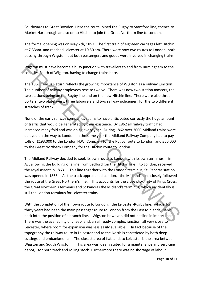Southwards to Great Bowden. Here the route joined the Rugby to Stamford line, thence to Market Harborough and so on to Hitchin to join the Great Northern line to London.

The formal opening was on May 7th, 1857. The first train of eighteen carriages left Hitchin at 7.33am. and reached Leicester at 10.50 am. There were now two routes to London, both passing through Wigston, but both passengers and goods were involved in changing trains.

Wigston must have become a busy junction with travellers to and from Birmingham to the counties South of Wigston, having to change trains here.

The 1861 Census Return reflects the growing importance of Wigston as a railway junction. The number of railway employees rose to twelve. There was now two station masters, the two stations being on the Rugby line and on the new Hitchin line. There were also three porters, two platelayers, three labourers and two railway policemen, for the two different stretches of track.

None of the early railway companies seems to have anticipated correctly the huge amount of traffic that would be generated by their existence. By 1862 all railway traffic had increased many fold and was doing every year. During 1862 over 3000 Midland trains were delayed on the way to London. In the same year the Midland Railway Company had to pay tolls of £193,000 to the London N.W. Company for the Rugby route to London, and £60,000 to the Great Northern Company for the Hitchin route to London.

The Midland Railway decided to seek its own route to London with its own terminus, in Act allowing the building of a line from Bedford (on the Hitchin line) to London, received the royal assent in 1863. This line together with the London terminus, St. Pancras station, was opened in 1868. As the track approached London, the Midland's line closely followed the route of the Great Northern's line. This accounts for the close proximity of Kings Cross, the Great Northern's terminus and St Pancras the Midland's terminus, which incidentally is still the London terminus for Leicester trains. Wigston must have become a busy junction with travellers to and from Birmingham to the<br>counties South of Wigston, having to change trains here.<br>The 1861 census Return reflects the growing importance of Wigston as a railway

With the completion of their own route to London, the Leicester-Rugby line, which for thirty years had been the main passenger route to London from the East Midlands, sank back into the position of a branch line. Wigston however, did not decline in importance. There was the availability of cheap land, an all ready complex junction, all very close to Leicester, where room for expansion was less easily available. In fact because of the topography the railway route in Leicester and to the North is constricted by both deep cuttings and embankments. The closest area of flat land, to Leicester is the area between Wigston and South Wigston. This area was ideally suited for a maintenance and servicing depot, for both track and rolling stock. Furthermore there was no shortage of labour.